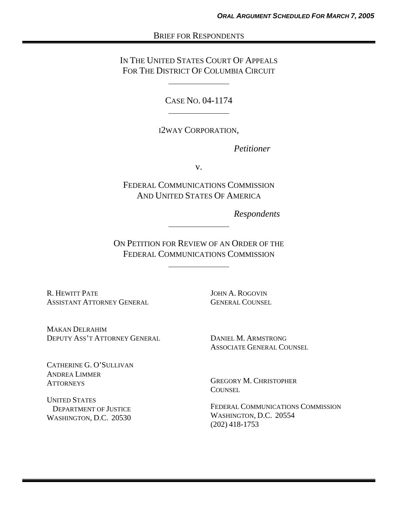#### BRIEF FOR RESPONDENTS

### IN THE UNITED STATES COURT OF APPEALS FOR THE DISTRICT OF COLUMBIA CIRCUIT

CASE NO. 04-1174

#### I2WAY CORPORATION,

*Petitioner* 

v.

FEDERAL COMMUNICATIONS COMMISSION AND UNITED STATES OF AMERICA

*Respondents* 

ON PETITION FOR REVIEW OF AN ORDER OF THE FEDERAL COMMUNICATIONS COMMISSION

R. HEWITT PATE ASSISTANT ATTORNEY GENERAL JOHN A. ROGOVIN GENERAL COUNSEL

MAKAN DELRAHIM DEPUTY ASS'T ATTORNEY GENERAL

DANIEL M. ARMSTRONG ASSOCIATE GENERAL COUNSEL

CATHERINE G. O'SULLIVAN ANDREA LIMMER **ATTORNEYS** 

UNITED STATES DEPARTMENT OF JUSTICE WASHINGTON, D.C. 20530 GREGORY M. CHRISTOPHER **COUNSEL** 

FEDERAL COMMUNICATIONS COMMISSION WASHINGTON, D.C. 20554 (202) 418-1753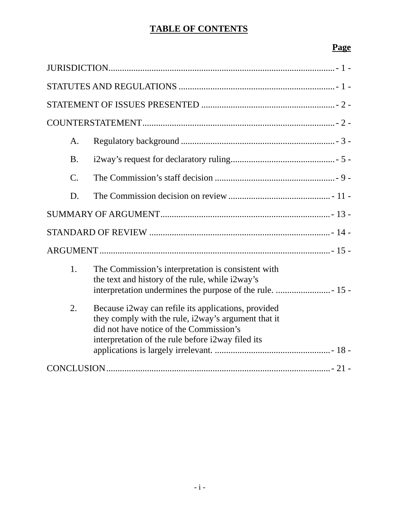## **TABLE OF CONTENTS**

# **Page**

| A.              |                                                                                                                                                                                                            |  |
|-----------------|------------------------------------------------------------------------------------------------------------------------------------------------------------------------------------------------------------|--|
| <b>B.</b>       |                                                                                                                                                                                                            |  |
| $\mathcal{C}$ . |                                                                                                                                                                                                            |  |
| D.              |                                                                                                                                                                                                            |  |
|                 |                                                                                                                                                                                                            |  |
|                 |                                                                                                                                                                                                            |  |
|                 |                                                                                                                                                                                                            |  |
| 1.              | The Commission's interpretation is consistent with<br>the text and history of the rule, while i2way's                                                                                                      |  |
| 2.              | Because i2way can refile its applications, provided<br>they comply with the rule, i2way's argument that it<br>did not have notice of the Commission's<br>interpretation of the rule before i2way filed its |  |
|                 |                                                                                                                                                                                                            |  |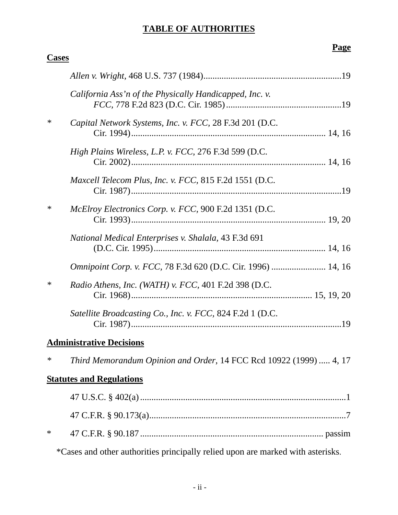### **TABLE OF AUTHORITIES**

### **Page**

| <b>Cases</b> |                                                                    |
|--------------|--------------------------------------------------------------------|
|              |                                                                    |
|              | California Ass'n of the Physically Handicapped, Inc. v.            |
| ∗            | Capital Network Systems, Inc. v. FCC, 28 F.3d 201 (D.C.            |
|              | High Plains Wireless, L.P. v. FCC, 276 F.3d 599 (D.C.              |
|              | Maxcell Telecom Plus, Inc. v. FCC, 815 F.2d 1551 (D.C.             |
| ∗            | McElroy Electronics Corp. v. FCC, 900 F.2d 1351 (D.C.              |
|              | National Medical Enterprises v. Shalala, 43 F.3d 691               |
|              | Omnipoint Corp. v. FCC, 78 F.3d 620 (D.C. Cir. 1996)  14, 16       |
| ∗            | Radio Athens, Inc. (WATH) v. FCC, 401 F.2d 398 (D.C.               |
|              | Satellite Broadcasting Co., Inc. v. FCC, 824 F.2d 1 (D.C.          |
|              | <b>Administrative Decisions</b>                                    |
| ∗            | Third Memorandum Opinion and Order, 14 FCC Rcd 10922 (1999)  4, 17 |
|              | <b>Statutes and Regulations</b>                                    |
|              |                                                                    |
|              |                                                                    |
| ∗            |                                                                    |

\*Cases and other authorities principally relied upon are marked with asterisks.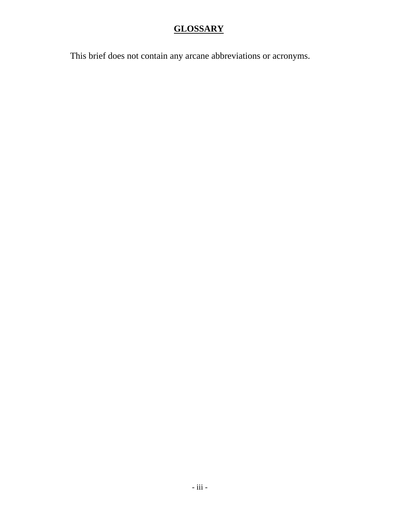# **GLOSSARY**

This brief does not contain any arcane abbreviations or acronyms.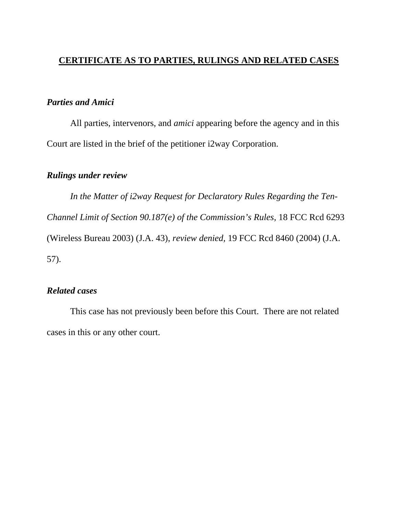### **CERTIFICATE AS TO PARTIES, RULINGS AND RELATED CASES**

### *Parties and Amici*

 All parties, intervenors, and *amici* appearing before the agency and in this Court are listed in the brief of the petitioner i2way Corporation.

### *Rulings under review*

*In the Matter of i2way Request for Declaratory Rules Regarding the Ten-Channel Limit of Section 90.187(e) of the Commission's Rules*, 18 FCC Rcd 6293 (Wireless Bureau 2003) (J.A. 43), *review denied,* 19 FCC Rcd 8460 (2004) (J.A. 57).

### *Related cases*

 This case has not previously been before this Court. There are not related cases in this or any other court.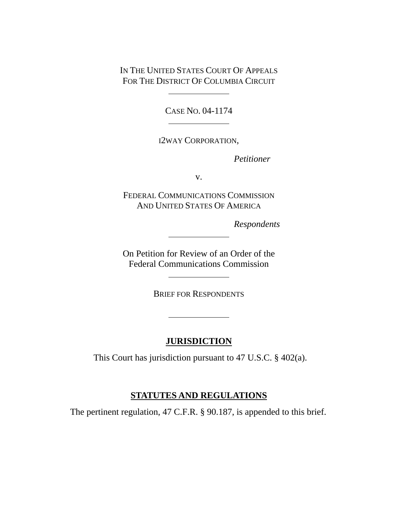IN THE UNITED STATES COURT OF APPEALS FOR THE DISTRICT OF COLUMBIA CIRCUIT

CASE NO. 04-1174

I2WAY CORPORATION,

*Petitioner* 

v.

FEDERAL COMMUNICATIONS COMMISSION AND UNITED STATES OF AMERICA

*Respondents* 

On Petition for Review of an Order of the Federal Communications Commission

BRIEF FOR RESPONDENTS

### **JURISDICTION**

This Court has jurisdiction pursuant to 47 U.S.C. § 402(a).

### **STATUTES AND REGULATIONS**

The pertinent regulation, 47 C.F.R. § 90.187, is appended to this brief.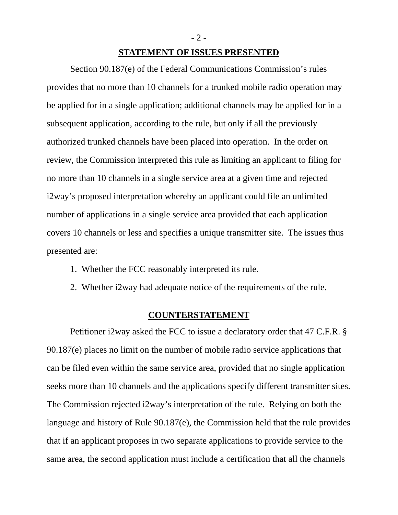- 2 -

#### **STATEMENT OF ISSUES PRESENTED**

Section 90.187(e) of the Federal Communications Commission's rules provides that no more than 10 channels for a trunked mobile radio operation may be applied for in a single application; additional channels may be applied for in a subsequent application, according to the rule, but only if all the previously authorized trunked channels have been placed into operation. In the order on review, the Commission interpreted this rule as limiting an applicant to filing for no more than 10 channels in a single service area at a given time and rejected i2way's proposed interpretation whereby an applicant could file an unlimited number of applications in a single service area provided that each application covers 10 channels or less and specifies a unique transmitter site. The issues thus presented are:

- 1. Whether the FCC reasonably interpreted its rule.
- 2. Whether i2way had adequate notice of the requirements of the rule.

#### **COUNTERSTATEMENT**

Petitioner i2way asked the FCC to issue a declaratory order that 47 C.F.R. § 90.187(e) places no limit on the number of mobile radio service applications that can be filed even within the same service area, provided that no single application seeks more than 10 channels and the applications specify different transmitter sites. The Commission rejected i2way's interpretation of the rule. Relying on both the language and history of Rule 90.187(e), the Commission held that the rule provides that if an applicant proposes in two separate applications to provide service to the same area, the second application must include a certification that all the channels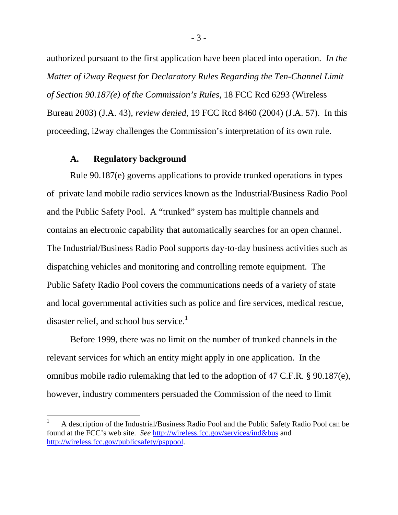authorized pursuant to the first application have been placed into operation. *In the Matter of i2way Request for Declaratory Rules Regarding the Ten-Channel Limit of Section 90.187(e) of the Commission's Rules,* 18 FCC Rcd 6293 (Wireless Bureau 2003) (J.A. 43), *review denied,* 19 FCC Rcd 8460 (2004) (J.A. 57). In this proceeding, i2way challenges the Commission's interpretation of its own rule.

#### **A. Regulatory background**

l

Rule 90.187(e) governs applications to provide trunked operations in types of private land mobile radio services known as the Industrial/Business Radio Pool and the Public Safety Pool. A "trunked" system has multiple channels and contains an electronic capability that automatically searches for an open channel. The Industrial/Business Radio Pool supports day-to-day business activities such as dispatching vehicles and monitoring and controlling remote equipment. The Public Safety Radio Pool covers the communications needs of a variety of state and local governmental activities such as police and fire services, medical rescue, disaster relief, and school bus service.<sup>1</sup>

Before 1999, there was no limit on the number of trunked channels in the relevant services for which an entity might apply in one application. In the omnibus mobile radio rulemaking that led to the adoption of 47 C.F.R. § 90.187(e), however, industry commenters persuaded the Commission of the need to limit

<sup>1</sup> A description of the Industrial/Business Radio Pool and the Public Safety Radio Pool can be found at the FCC's web site. *See* http://wireless.fcc.gov/services/ind&bus and http://wireless.fcc.gov/publicsafety/psppool.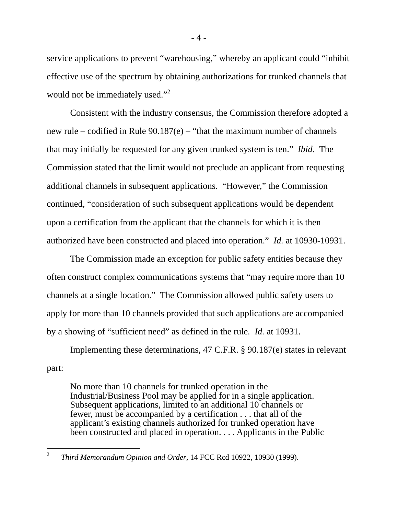service applications to prevent "warehousing," whereby an applicant could "inhibit effective use of the spectrum by obtaining authorizations for trunked channels that would not be immediately used."<sup>2</sup>

Consistent with the industry consensus, the Commission therefore adopted a new rule – codified in Rule 90.187(e) – "that the maximum number of channels that may initially be requested for any given trunked system is ten." *Ibid.* The Commission stated that the limit would not preclude an applicant from requesting additional channels in subsequent applications. "However," the Commission continued, "consideration of such subsequent applications would be dependent upon a certification from the applicant that the channels for which it is then authorized have been constructed and placed into operation." *Id.* at 10930-10931.

The Commission made an exception for public safety entities because they often construct complex communications systems that "may require more than 10 channels at a single location." The Commission allowed public safety users to apply for more than 10 channels provided that such applications are accompanied by a showing of "sufficient need" as defined in the rule. *Id.* at 10931.

Implementing these determinations, 47 C.F.R. § 90.187(e) states in relevant part:

No more than 10 channels for trunked operation in the Industrial/Business Pool may be applied for in a single application. Subsequent applications, limited to an additional 10 channels or fewer, must be accompanied by a certification . . . that all of the applicant's existing channels authorized for trunked operation have been constructed and placed in operation. . . . Applicants in the Public

- 4 -

 $\frac{1}{2}$ *Third Memorandum Opinion and Order*, 14 FCC Rcd 10922, 10930 (1999).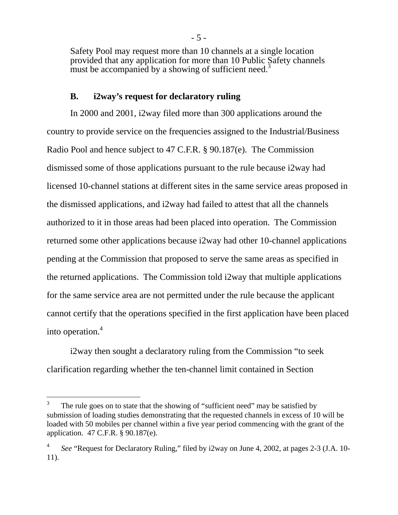Safety Pool may request more than 10 channels at a single location provided that any application for more than 10 Public Safety channels must be accompanied by a showing of sufficient need.<sup>3</sup>

#### **B. i2way's request for declaratory ruling**

In 2000 and 2001, i2way filed more than 300 applications around the country to provide service on the frequencies assigned to the Industrial/Business Radio Pool and hence subject to 47 C.F.R. § 90.187(e). The Commission dismissed some of those applications pursuant to the rule because i2way had licensed 10-channel stations at different sites in the same service areas proposed in the dismissed applications, and i2way had failed to attest that all the channels authorized to it in those areas had been placed into operation. The Commission returned some other applications because i2way had other 10-channel applications pending at the Commission that proposed to serve the same areas as specified in the returned applications. The Commission told i2way that multiple applications for the same service area are not permitted under the rule because the applicant cannot certify that the operations specified in the first application have been placed into operation.4

i2way then sought a declaratory ruling from the Commission "to seek clarification regarding whether the ten-channel limit contained in Section

-

<sup>3</sup> The rule goes on to state that the showing of "sufficient need" may be satisfied by submission of loading studies demonstrating that the requested channels in excess of 10 will be loaded with 50 mobiles per channel within a five year period commencing with the grant of the application. 47 C.F.R. § 90.187(e).

<sup>4</sup> *See* "Request for Declaratory Ruling," filed by i2way on June 4, 2002, at pages 2-3 (J.A. 10- 11).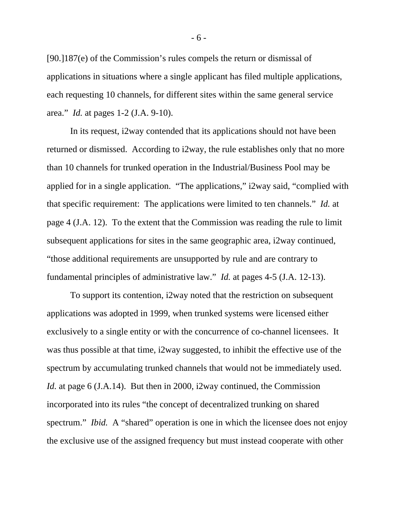[90.]187(e) of the Commission's rules compels the return or dismissal of applications in situations where a single applicant has filed multiple applications, each requesting 10 channels, for different sites within the same general service area." *Id.* at pages 1-2 (J.A. 9-10).

In its request, i2way contended that its applications should not have been returned or dismissed. According to i2way, the rule establishes only that no more than 10 channels for trunked operation in the Industrial/Business Pool may be applied for in a single application. "The applications," i2way said, "complied with that specific requirement: The applications were limited to ten channels." *Id.* at page 4 (J.A. 12). To the extent that the Commission was reading the rule to limit subsequent applications for sites in the same geographic area, i2way continued, "those additional requirements are unsupported by rule and are contrary to fundamental principles of administrative law." *Id.* at pages 4-5 (J.A. 12-13).

To support its contention, i2way noted that the restriction on subsequent applications was adopted in 1999, when trunked systems were licensed either exclusively to a single entity or with the concurrence of co-channel licensees. It was thus possible at that time, i2way suggested, to inhibit the effective use of the spectrum by accumulating trunked channels that would not be immediately used. *Id.* at page 6 (J.A.14). But then in 2000, i2way continued, the Commission incorporated into its rules "the concept of decentralized trunking on shared spectrum." *Ibid.* A "shared" operation is one in which the licensee does not enjoy the exclusive use of the assigned frequency but must instead cooperate with other

- 6 -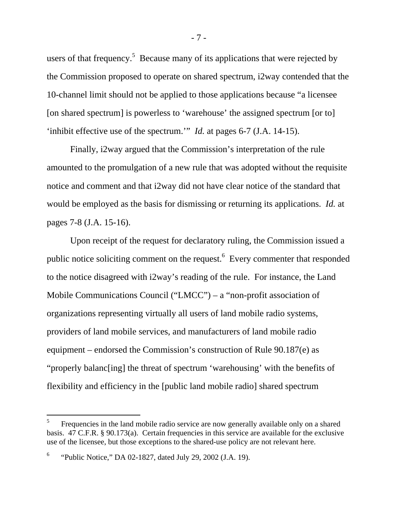users of that frequency.<sup>5</sup> Because many of its applications that were rejected by the Commission proposed to operate on shared spectrum, i2way contended that the 10-channel limit should not be applied to those applications because "a licensee [on shared spectrum] is powerless to 'warehouse' the assigned spectrum [or to] 'inhibit effective use of the spectrum.'" *Id.* at pages 6-7 (J.A. 14-15).

Finally, i2way argued that the Commission's interpretation of the rule amounted to the promulgation of a new rule that was adopted without the requisite notice and comment and that i2way did not have clear notice of the standard that would be employed as the basis for dismissing or returning its applications. *Id.* at pages 7-8 (J.A. 15-16).

Upon receipt of the request for declaratory ruling, the Commission issued a public notice soliciting comment on the request.<sup>6</sup> Every commenter that responded to the notice disagreed with i2way's reading of the rule. For instance, the Land Mobile Communications Council ("LMCC") – a "non-profit association of organizations representing virtually all users of land mobile radio systems, providers of land mobile services, and manufacturers of land mobile radio equipment – endorsed the Commission's construction of Rule 90.187(e) as "properly balanc[ing] the threat of spectrum 'warehousing' with the benefits of flexibility and efficiency in the [public land mobile radio] shared spectrum

 $\overline{a}$ 

<sup>5</sup> Frequencies in the land mobile radio service are now generally available only on a shared basis. 47 C.F.R. § 90.173(a). Certain frequencies in this service are available for the exclusive use of the licensee, but those exceptions to the shared-use policy are not relevant here.

<sup>6</sup> "Public Notice," DA 02-1827, dated July 29, 2002 (J.A. 19).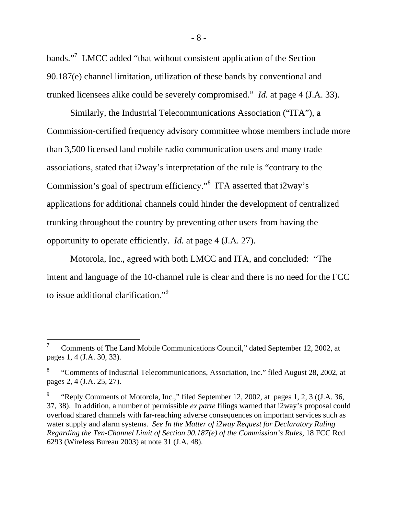bands."<sup>7</sup> LMCC added "that without consistent application of the Section 90.187(e) channel limitation, utilization of these bands by conventional and trunked licensees alike could be severely compromised." *Id.* at page 4 (J.A. 33).

Similarly, the Industrial Telecommunications Association ("ITA"), a Commission-certified frequency advisory committee whose members include more than 3,500 licensed land mobile radio communication users and many trade associations, stated that i2way's interpretation of the rule is "contrary to the Commission's goal of spectrum efficiency."<sup>8</sup> ITA asserted that i2way's applications for additional channels could hinder the development of centralized trunking throughout the country by preventing other users from having the opportunity to operate efficiently. *Id.* at page 4 (J.A. 27).

Motorola, Inc., agreed with both LMCC and ITA, and concluded: "The intent and language of the 10-channel rule is clear and there is no need for the FCC to issue additional clarification."<sup>9</sup>

 $\overline{a}$ 

<sup>7</sup> Comments of The Land Mobile Communications Council," dated September 12, 2002, at pages 1, 4 (J.A. 30, 33).

<sup>8</sup> "Comments of Industrial Telecommunications, Association, Inc." filed August 28, 2002, at pages 2, 4 (J.A. 25, 27).

<sup>9</sup> "Reply Comments of Motorola, Inc.," filed September 12, 2002, at pages 1, 2, 3 ((J.A. 36, 37, 38). In addition, a number of permissible *ex parte* filings warned that i2way's proposal could overload shared channels with far-reaching adverse consequences on important services such as water supply and alarm systems. *See In the Matter of i2way Request for Declaratory Ruling Regarding the Ten-Channel Limit of Section 90.187(e) of the Commission's Rules,* 18 FCC Rcd 6293 (Wireless Bureau 2003) at note 31 (J.A. 48).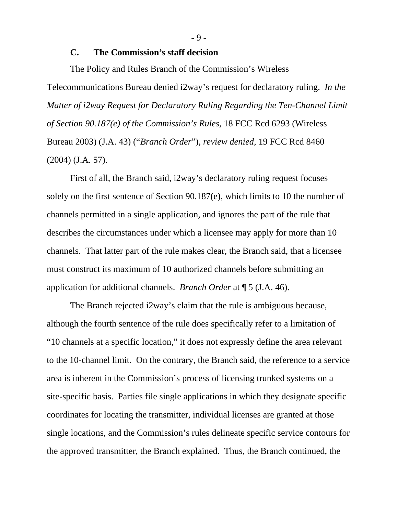- 9 -

#### **C. The Commission's staff decision**

The Policy and Rules Branch of the Commission's Wireless Telecommunications Bureau denied i2way's request for declaratory ruling. *In the Matter of i2way Request for Declaratory Ruling Regarding the Ten-Channel Limit of Section 90.187(e) of the Commission's Rules,* 18 FCC Rcd 6293 (Wireless Bureau 2003) (J.A. 43) ("*Branch Order*"), *review denied,* 19 FCC Rcd 8460 (2004) (J.A. 57).

First of all, the Branch said, i2way's declaratory ruling request focuses solely on the first sentence of Section 90.187(e), which limits to 10 the number of channels permitted in a single application, and ignores the part of the rule that describes the circumstances under which a licensee may apply for more than 10 channels. That latter part of the rule makes clear, the Branch said, that a licensee must construct its maximum of 10 authorized channels before submitting an application for additional channels. *Branch Order* at ¶ 5 (J.A. 46).

The Branch rejected i2way's claim that the rule is ambiguous because, although the fourth sentence of the rule does specifically refer to a limitation of "10 channels at a specific location," it does not expressly define the area relevant to the 10-channel limit. On the contrary, the Branch said, the reference to a service area is inherent in the Commission's process of licensing trunked systems on a site-specific basis. Parties file single applications in which they designate specific coordinates for locating the transmitter, individual licenses are granted at those single locations, and the Commission's rules delineate specific service contours for the approved transmitter, the Branch explained. Thus, the Branch continued, the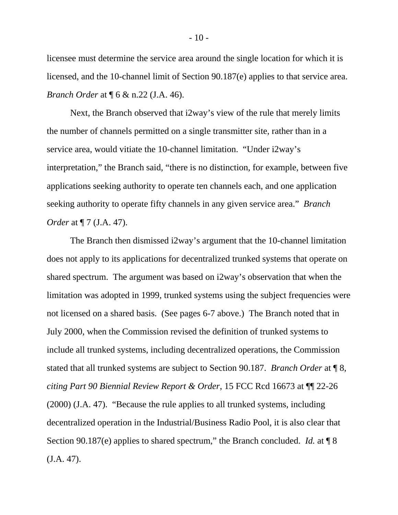licensee must determine the service area around the single location for which it is licensed, and the 10-channel limit of Section 90.187(e) applies to that service area. *Branch Order* at ¶ 6 & n.22 (J.A. 46).

Next, the Branch observed that i2way's view of the rule that merely limits the number of channels permitted on a single transmitter site, rather than in a service area, would vitiate the 10-channel limitation. "Under i2way's interpretation," the Branch said, "there is no distinction, for example, between five applications seeking authority to operate ten channels each, and one application seeking authority to operate fifty channels in any given service area." *Branch Order* at  $\P$  7 (J.A. 47).

The Branch then dismissed i2way's argument that the 10-channel limitation does not apply to its applications for decentralized trunked systems that operate on shared spectrum. The argument was based on i2way's observation that when the limitation was adopted in 1999, trunked systems using the subject frequencies were not licensed on a shared basis. (See pages 6-7 above.) The Branch noted that in July 2000, when the Commission revised the definition of trunked systems to include all trunked systems, including decentralized operations, the Commission stated that all trunked systems are subject to Section 90.187. *Branch Order* at ¶ 8, *citing Part 90 Biennial Review Report & Order*, 15 FCC Rcd 16673 at ¶¶ 22-26 (2000) (J.A. 47). "Because the rule applies to all trunked systems, including decentralized operation in the Industrial/Business Radio Pool, it is also clear that Section 90.187(e) applies to shared spectrum," the Branch concluded. *Id.* at ¶ 8 (J.A. 47).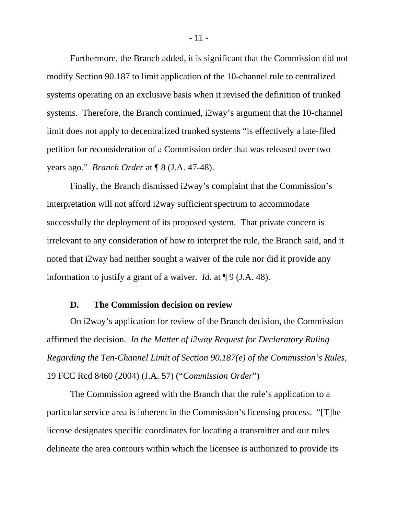Furthermore, the Branch added, it is significant that the Commission did not modify Section 90.187 to limit application of the 10-channel rule to centralized systems operating on an exclusive basis when it revised the definition of trunked systems. Therefore, the Branch continued, i2way's argument that the 10-channel limit does not apply to decentralized trunked systems "is effectively a late-filed petition for reconsideration of a Commission order that was released over two years ago." *Branch Order* at ¶ 8 (J.A. 47-48).

Finally, the Branch dismissed i2way's complaint that the Commission's interpretation will not afford i2way sufficient spectrum to accommodate successfully the deployment of its proposed system. That private concern is irrelevant to any consideration of how to interpret the rule, the Branch said, and it noted that i2way had neither sought a waiver of the rule nor did it provide any information to justify a grant of a waiver. *Id.* at ¶ 9 (J.A. 48).

#### **D. The Commission decision on review**

On i2way's application for review of the Branch decision, the Commission affirmed the decision. *In the Matter of i2way Request for Declaratory Ruling Regarding the Ten-Channel Limit of Section 90.187(e) of the Commission's Rules,* 19 FCC Rcd 8460 (2004) (J.A. 57) ("*Commission Order*")

The Commission agreed with the Branch that the rule's application to a particular service area is inherent in the Commission's licensing process. "[T]he license designates specific coordinates for locating a transmitter and our rules delineate the area contours within which the licensee is authorized to provide its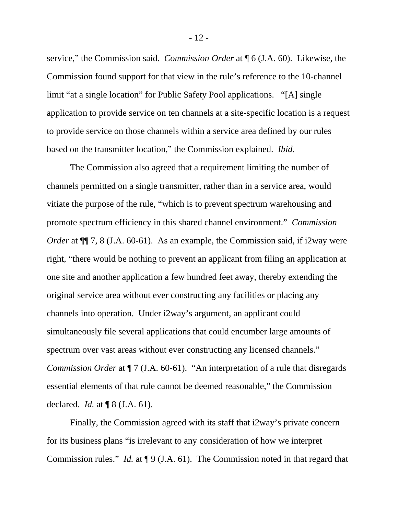service," the Commission said. *Commission Order* at ¶ 6 (J.A. 60). Likewise, the Commission found support for that view in the rule's reference to the 10-channel limit "at a single location" for Public Safety Pool applications. "[A] single application to provide service on ten channels at a site-specific location is a request to provide service on those channels within a service area defined by our rules based on the transmitter location," the Commission explained. *Ibid.* 

The Commission also agreed that a requirement limiting the number of channels permitted on a single transmitter, rather than in a service area, would vitiate the purpose of the rule, "which is to prevent spectrum warehousing and promote spectrum efficiency in this shared channel environment." *Commission Order* at  $\P$  7, 8 (J.A. 60-61). As an example, the Commission said, if i2way were right, "there would be nothing to prevent an applicant from filing an application at one site and another application a few hundred feet away, thereby extending the original service area without ever constructing any facilities or placing any channels into operation. Under i2way's argument, an applicant could simultaneously file several applications that could encumber large amounts of spectrum over vast areas without ever constructing any licensed channels." *Commission Order* at  $\P$  7 (J.A. 60-61). "An interpretation of a rule that disregards essential elements of that rule cannot be deemed reasonable," the Commission declared. *Id.* at ¶ 8 (J.A. 61).

Finally, the Commission agreed with its staff that i2way's private concern for its business plans "is irrelevant to any consideration of how we interpret Commission rules." *Id.* at ¶ 9 (J.A. 61). The Commission noted in that regard that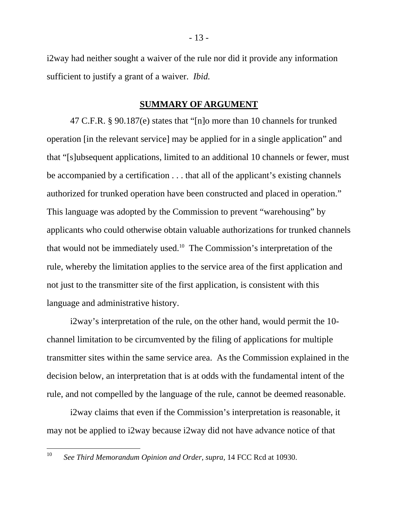i2way had neither sought a waiver of the rule nor did it provide any information sufficient to justify a grant of a waiver. *Ibid.* 

#### **SUMMARY OF ARGUMENT**

47 C.F.R. § 90.187(e) states that "[n]o more than 10 channels for trunked operation [in the relevant service] may be applied for in a single application" and that "[s]ubsequent applications, limited to an additional 10 channels or fewer, must be accompanied by a certification . . . that all of the applicant's existing channels authorized for trunked operation have been constructed and placed in operation." This language was adopted by the Commission to prevent "warehousing" by applicants who could otherwise obtain valuable authorizations for trunked channels that would not be immediately used.10 The Commission's interpretation of the rule, whereby the limitation applies to the service area of the first application and not just to the transmitter site of the first application, is consistent with this language and administrative history.

i2way's interpretation of the rule, on the other hand, would permit the 10 channel limitation to be circumvented by the filing of applications for multiple transmitter sites within the same service area. As the Commission explained in the decision below, an interpretation that is at odds with the fundamental intent of the rule, and not compelled by the language of the rule, cannot be deemed reasonable.

i2way claims that even if the Commission's interpretation is reasonable, it may not be applied to i2way because i2way did not have advance notice of that

 $10\,$ 10 *See Third Memorandum Opinion and Order, supra,* 14 FCC Rcd at 10930.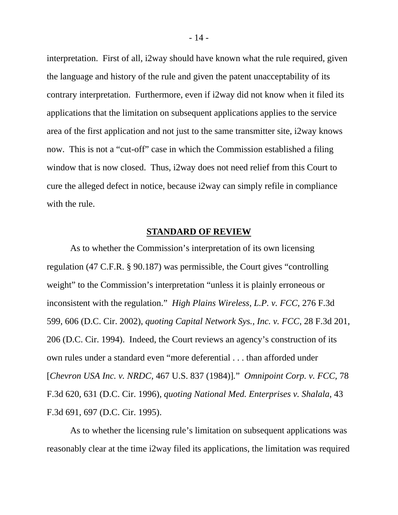interpretation. First of all, i2way should have known what the rule required, given the language and history of the rule and given the patent unacceptability of its contrary interpretation. Furthermore, even if i2way did not know when it filed its applications that the limitation on subsequent applications applies to the service area of the first application and not just to the same transmitter site, i2way knows now. This is not a "cut-off" case in which the Commission established a filing window that is now closed. Thus, i2way does not need relief from this Court to cure the alleged defect in notice, because i2way can simply refile in compliance with the rule.

#### **STANDARD OF REVIEW**

As to whether the Commission's interpretation of its own licensing regulation (47 C.F.R. § 90.187) was permissible, the Court gives "controlling weight" to the Commission's interpretation "unless it is plainly erroneous or inconsistent with the regulation." *High Plains Wireless, L.P. v. FCC,* 276 F.3d 599, 606 (D.C. Cir. 2002), *quoting Capital Network Sys., Inc. v. FCC,* 28 F.3d 201, 206 (D.C. Cir. 1994). Indeed, the Court reviews an agency's construction of its own rules under a standard even "more deferential . . . than afforded under [*Chevron USA Inc. v. NRDC,* 467 U.S. 837 (1984)]*.*" *Omnipoint Corp. v. FCC,* 78 F.3d 620, 631 (D.C. Cir. 1996), *quoting National Med. Enterprises v. Shalala,* 43 F.3d 691, 697 (D.C. Cir. 1995).

As to whether the licensing rule's limitation on subsequent applications was reasonably clear at the time i2way filed its applications, the limitation was required

- 14 -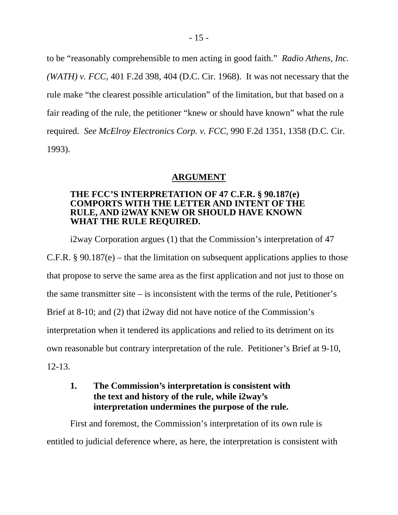to be "reasonably comprehensible to men acting in good faith." *Radio Athens, Inc. (WATH) v. FCC,* 401 F.2d 398, 404 (D.C. Cir. 1968). It was not necessary that the rule make "the clearest possible articulation" of the limitation, but that based on a fair reading of the rule, the petitioner "knew or should have known" what the rule required. *See McElroy Electronics Corp. v. FCC,* 990 F.2d 1351, 1358 (D.C. Cir. 1993).

### **ARGUMENT**

#### **THE FCC'S INTERPRETATION OF 47 C.F.R. § 90.187(e) COMPORTS WITH THE LETTER AND INTENT OF THE RULE, AND i2WAY KNEW OR SHOULD HAVE KNOWN WHAT THE RULE REQUIRED.**

i2way Corporation argues (1) that the Commission's interpretation of 47 C.F.R.  $§$  90.187(e) – that the limitation on subsequent applications applies to those that propose to serve the same area as the first application and not just to those on the same transmitter site – is inconsistent with the terms of the rule, Petitioner's Brief at 8-10; and (2) that i2way did not have notice of the Commission's interpretation when it tendered its applications and relied to its detriment on its own reasonable but contrary interpretation of the rule. Petitioner's Brief at 9-10, 12-13.

### **1. The Commission's interpretation is consistent with the text and history of the rule, while i2way's interpretation undermines the purpose of the rule.**

First and foremost, the Commission's interpretation of its own rule is entitled to judicial deference where, as here, the interpretation is consistent with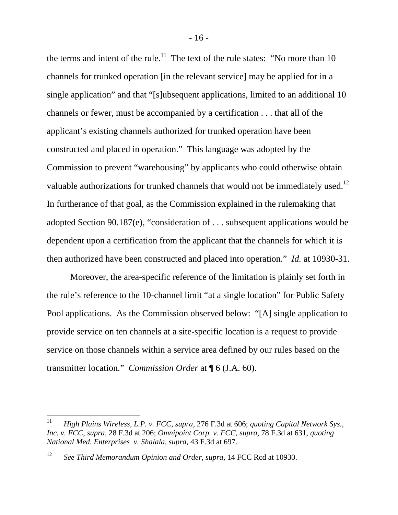the terms and intent of the rule.<sup>11</sup> The text of the rule states: "No more than 10 channels for trunked operation [in the relevant service] may be applied for in a single application" and that "[s]ubsequent applications, limited to an additional 10 channels or fewer, must be accompanied by a certification . . . that all of the applicant's existing channels authorized for trunked operation have been constructed and placed in operation." This language was adopted by the Commission to prevent "warehousing" by applicants who could otherwise obtain valuable authorizations for trunked channels that would not be immediately used.<sup>12</sup> In furtherance of that goal, as the Commission explained in the rulemaking that adopted Section 90.187(e), "consideration of . . . subsequent applications would be dependent upon a certification from the applicant that the channels for which it is then authorized have been constructed and placed into operation." *Id.* at 10930-31.

Moreover, the area-specific reference of the limitation is plainly set forth in the rule's reference to the 10-channel limit "at a single location" for Public Safety Pool applications. As the Commission observed below: "[A] single application to provide service on ten channels at a site-specific location is a request to provide service on those channels within a service area defined by our rules based on the transmitter location." *Commission Order* at ¶ 6 (J.A. 60).

 $11$ 11 *High Plains Wireless, L.P. v. FCC, supra,* 276 F.3d at 606; *quoting Capital Network Sys., Inc. v. FCC, supra,* 28 F.3d at 206; *Omnipoint Corp. v. FCC, supra,* 78 F.3d at 631, *quoting National Med. Enterprises v. Shalala, supra,* 43 F.3d at 697.

<sup>&</sup>lt;sup>12</sup> *See Third Memorandum Opinion and Order, supra, 14 FCC Rcd at 10930.*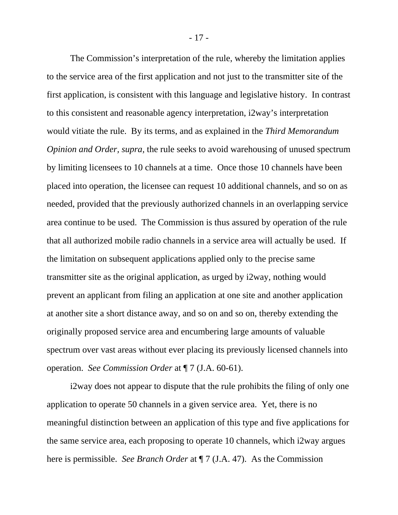The Commission's interpretation of the rule, whereby the limitation applies to the service area of the first application and not just to the transmitter site of the first application, is consistent with this language and legislative history. In contrast to this consistent and reasonable agency interpretation, i2way's interpretation would vitiate the rule. By its terms, and as explained in the *Third Memorandum Opinion and Order, supra,* the rule seeks to avoid warehousing of unused spectrum by limiting licensees to 10 channels at a time. Once those 10 channels have been placed into operation, the licensee can request 10 additional channels, and so on as needed, provided that the previously authorized channels in an overlapping service area continue to be used. The Commission is thus assured by operation of the rule that all authorized mobile radio channels in a service area will actually be used. If the limitation on subsequent applications applied only to the precise same transmitter site as the original application, as urged by i2way, nothing would prevent an applicant from filing an application at one site and another application at another site a short distance away, and so on and so on, thereby extending the originally proposed service area and encumbering large amounts of valuable spectrum over vast areas without ever placing its previously licensed channels into operation. *See Commission Order* at ¶ 7 (J.A. 60-61).

i2way does not appear to dispute that the rule prohibits the filing of only one application to operate 50 channels in a given service area. Yet, there is no meaningful distinction between an application of this type and five applications for the same service area, each proposing to operate 10 channels, which i2way argues here is permissible. *See Branch Order* at ¶ 7 (J.A. 47). As the Commission

- 17 -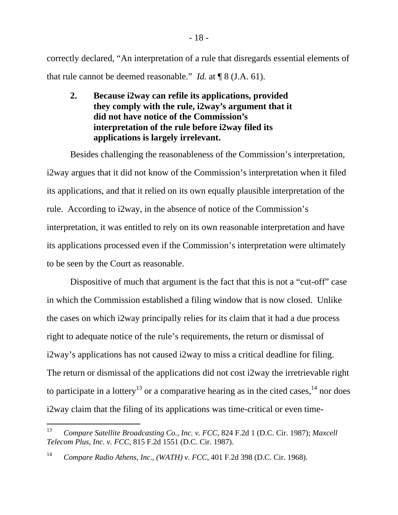correctly declared, "An interpretation of a rule that disregards essential elements of that rule cannot be deemed reasonable." *Id.* at ¶ 8 (J.A. 61).

**2. Because i2way can refile its applications, provided they comply with the rule, i2way's argument that it did not have notice of the Commission's interpretation of the rule before i2way filed its applications is largely irrelevant.** 

Besides challenging the reasonableness of the Commission's interpretation, i2way argues that it did not know of the Commission's interpretation when it filed its applications, and that it relied on its own equally plausible interpretation of the rule. According to i2way, in the absence of notice of the Commission's interpretation, it was entitled to rely on its own reasonable interpretation and have its applications processed even if the Commission's interpretation were ultimately to be seen by the Court as reasonable.

Dispositive of much that argument is the fact that this is not a "cut-off" case in which the Commission established a filing window that is now closed. Unlike the cases on which i2way principally relies for its claim that it had a due process right to adequate notice of the rule's requirements, the return or dismissal of i2way's applications has not caused i2way to miss a critical deadline for filing. The return or dismissal of the applications did not cost i2way the irretrievable right to participate in a lottery<sup>13</sup> or a comparative hearing as in the cited cases,  $14$  nor does i2way claim that the filing of its applications was time-critical or even time-

-

<sup>13</sup> *Compare Satellite Broadcasting Co., Inc. v. FCC,* 824 F.2d 1 (D.C. Cir. 1987); *Maxcell Telecom Plus, Inc. v. FCC,* 815 F.2d 1551 (D.C. Cir. 1987).

<sup>14</sup> *Compare Radio Athens, Inc., (WATH) v. FCC,* 401 F.2d 398 (D.C. Cir. 1968).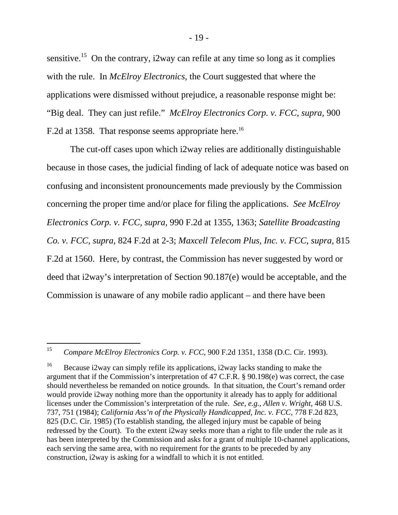sensitive.<sup>15</sup> On the contrary, i2way can refile at any time so long as it complies with the rule. In *McElroy Electronics*, the Court suggested that where the applications were dismissed without prejudice, a reasonable response might be: "Big deal. They can just refile." *McElroy Electronics Corp. v. FCC, supra,* 900 F.2d at 1358. That response seems appropriate here.<sup>16</sup>

The cut-off cases upon which i2way relies are additionally distinguishable because in those cases, the judicial finding of lack of adequate notice was based on confusing and inconsistent pronouncements made previously by the Commission concerning the proper time and/or place for filing the applications. *See McElroy Electronics Corp. v. FCC, supra,* 990 F.2d at 1355, 1363; *Satellite Broadcasting Co. v. FCC, supra,* 824 F.2d at 2-3; *Maxcell Telecom Plus, Inc. v. FCC, supra,* 815 F.2d at 1560. Here, by contrast, the Commission has never suggested by word or deed that i2way's interpretation of Section 90.187(e) would be acceptable, and the Commission is unaware of any mobile radio applicant – and there have been

<sup>15</sup> 15 *Compare McElroy Electronics Corp. v. FCC,* 900 F.2d 1351, 1358 (D.C. Cir. 1993).

<sup>&</sup>lt;sup>16</sup> Because i2way can simply refile its applications, i2way lacks standing to make the argument that if the Commission's interpretation of 47 C.F.R. § 90.198(e) was correct, the case should nevertheless be remanded on notice grounds. In that situation, the Court's remand order would provide i2way nothing more than the opportunity it already has to apply for additional licenses under the Commission's interpretation of the rule. *See, e.g., Allen v. Wright,* 468 U.S. 737, 751 (1984); *California Ass'n of the Physically Handicapped, Inc. v. FCC,* 778 F.2d 823, 825 (D.C. Cir. 1985) (To establish standing, the alleged injury must be capable of being redressed by the Court). To the extent i2way seeks more than a right to file under the rule as it has been interpreted by the Commission and asks for a grant of multiple 10-channel applications, each serving the same area, with no requirement for the grants to be preceded by any construction, i2way is asking for a windfall to which it is not entitled.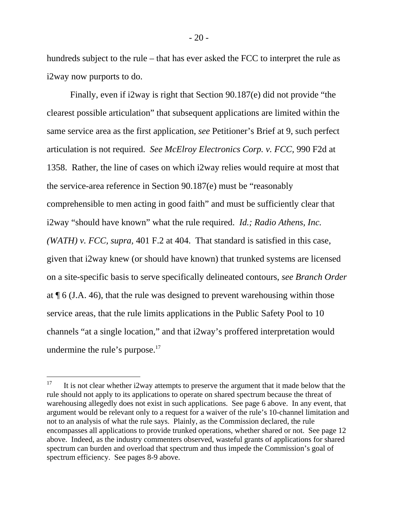hundreds subject to the rule – that has ever asked the FCC to interpret the rule as i2way now purports to do.

Finally, even if i2way is right that Section 90.187(e) did not provide "the clearest possible articulation" that subsequent applications are limited within the same service area as the first application, *see* Petitioner's Brief at 9, such perfect articulation is not required. *See McElroy Electronics Corp. v. FCC,* 990 F2d at 1358. Rather, the line of cases on which i2way relies would require at most that the service-area reference in Section 90.187(e) must be "reasonably comprehensible to men acting in good faith" and must be sufficiently clear that i2way "should have known" what the rule required. *Id.; Radio Athens, Inc. (WATH) v. FCC, supra,* 401 F.2 at 404. That standard is satisfied in this case, given that i2way knew (or should have known) that trunked systems are licensed on a site-specific basis to serve specifically delineated contours, *see Branch Order* at ¶ 6 (J.A. 46), that the rule was designed to prevent warehousing within those service areas, that the rule limits applications in the Public Safety Pool to 10 channels "at a single location," and that i2way's proffered interpretation would undermine the rule's purpose.<sup>17</sup>

 $17\,$ 17 It is not clear whether i2way attempts to preserve the argument that it made below that the rule should not apply to its applications to operate on shared spectrum because the threat of warehousing allegedly does not exist in such applications. See page 6 above. In any event, that argument would be relevant only to a request for a waiver of the rule's 10-channel limitation and not to an analysis of what the rule says. Plainly, as the Commission declared, the rule encompasses all applications to provide trunked operations, whether shared or not. See page 12 above. Indeed, as the industry commenters observed, wasteful grants of applications for shared spectrum can burden and overload that spectrum and thus impede the Commission's goal of spectrum efficiency. See pages 8-9 above.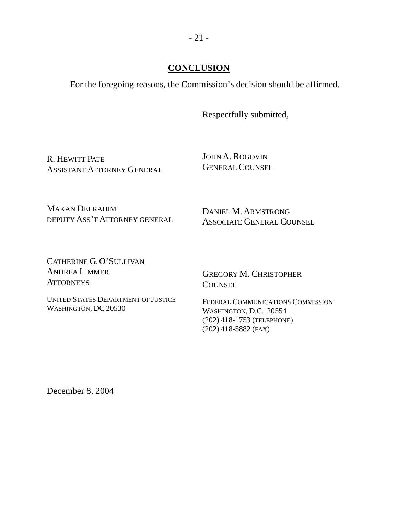### **CONCLUSION**

For the foregoing reasons, the Commission's decision should be affirmed.

Respectfully submitted,

R. HEWITT PATE ASSISTANT ATTORNEY GENERAL JOHN A. ROGOVIN GENERAL COUNSEL

MAKAN DELRAHIM DEPUTY ASS'T ATTORNEY GENERAL

DANIEL M. ARMSTRONG ASSOCIATE GENERAL COUNSEL

CATHERINE G. O'SULLIVAN ANDREA LIMMER **ATTORNEYS** 

UNITED STATES DEPARTMENT OF JUSTICE WASHINGTON, DC 20530

GREGORY M. CHRISTOPHER **COUNSEL** 

FEDERAL COMMUNICATIONS COMMISSION WASHINGTON, D.C. 20554 (202) 418-1753 (TELEPHONE) (202) 418-5882 (FAX)

December 8, 2004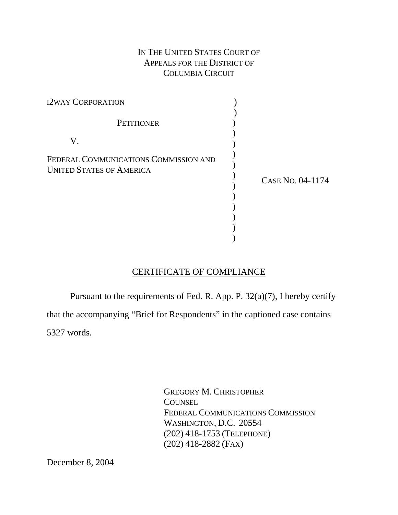### IN THE UNITED STATES COURT OF APPEALS FOR THE DISTRICT OF COLUMBIA CIRCUIT

| <b>I2WAY CORPORATION</b>                                                 |                  |  |
|--------------------------------------------------------------------------|------------------|--|
| <b>PETITIONER</b>                                                        |                  |  |
| $V_{\cdot}$                                                              |                  |  |
| FEDERAL COMMUNICATIONS COMMISSION AND<br><b>UNITED STATES OF AMERICA</b> | CASE No. 04-1174 |  |
|                                                                          |                  |  |

### CERTIFICATE OF COMPLIANCE

Pursuant to the requirements of Fed. R. App. P. 32(a)(7), I hereby certify that the accompanying "Brief for Respondents" in the captioned case contains 5327 words.

> GREGORY M. CHRISTOPHER **COUNSEL** FEDERAL COMMUNICATIONS COMMISSION WASHINGTON, D.C. 20554 (202) 418-1753 (TELEPHONE) (202) 418-2882 (FAX)

December 8, 2004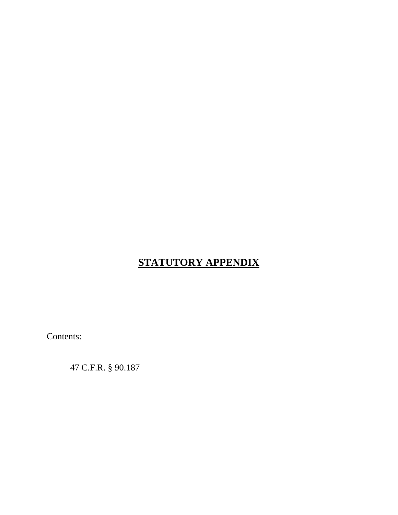# **STATUTORY APPENDIX**

Contents:

47 C.F.R. § 90.187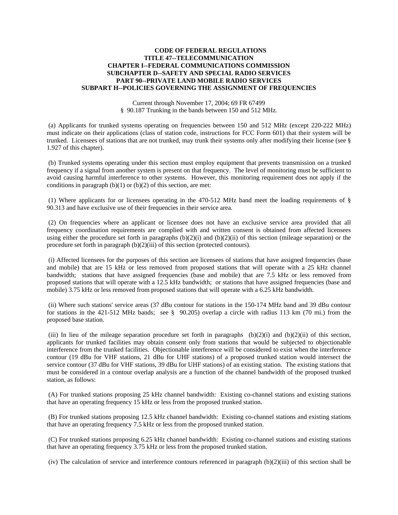#### **CODE OF FEDERAL REGULATIONS TITLE 47--TELECOMMUNICATION CHAPTER I--FEDERAL COMMUNICATIONS COMMISSION SUBCHAPTER D--SAFETY AND SPECIAL RADIO SERVICES PART 90--PRIVATE LAND MOBILE RADIO SERVICES SUBPART H--POLICIES GOVERNING THE ASSIGNMENT OF FREQUENCIES**

Current through November 17, 2004; 69 FR 67499 § 90.187 Trunking in the bands between 150 and 512 MHz.

 (a) Applicants for trunked systems operating on frequencies between 150 and 512 MHz (except 220-222 MHz) must indicate on their applications (class of station code, instructions for FCC Form 601) that their system will be trunked. Licensees of stations that are not trunked, may trunk their systems only after modifying their license (see § 1.927 of this chapter).

 (b) Trunked systems operating under this section must employ equipment that prevents transmission on a trunked frequency if a signal from another system is present on that frequency. The level of monitoring must be sufficient to avoid causing harmful interference to other systems. However, this monitoring requirement does not apply if the conditions in paragraph  $(b)(1)$  or  $(b)(2)$  of this section, are met:

 (1) Where applicants for or licensees operating in the 470-512 MHz band meet the loading requirements of § 90.313 and have exclusive use of their frequencies in their service area.

 (2) On frequencies where an applicant or licensee does not have an exclusive service area provided that all frequency coordination requirements are complied with and written consent is obtained from affected licensees using either the procedure set forth in paragraphs  $(b)(2)(i)$  and  $(b)(2)(ii)$  of this section (mileage separation) or the procedure set forth in paragraph (b)(2)(iii) of this section (protected contours).

 (i) Affected licensees for the purposes of this section are licensees of stations that have assigned frequencies (base and mobile) that are 15 kHz or less removed from proposed stations that will operate with a 25 kHz channel bandwidth; stations that have assigned frequencies (base and mobile) that are 7.5 kHz or less removed from proposed stations that will operate with a 12.5 kHz bandwidth; or stations that have assigned frequencies (base and mobile) 3.75 kHz or less removed from proposed stations that will operate with a 6.25 kHz bandwidth.

 (ii) Where such stations' service areas (37 dBu contour for stations in the 150-174 MHz band and 39 dBu contour for stations in the 421-512 MHz bands; see § 90.205) overlap a circle with radius 113 km (70 mi.) from the proposed base station.

(iii) In lieu of the mileage separation procedure set forth in paragraphs  $(b)(2)(i)$  and  $(b)(2)(ii)$  of this section, applicants for trunked facilities may obtain consent only from stations that would be subjected to objectionable interference from the trunked facilities. Objectionable interference will be considered to exist when the interference contour (19 dBu for VHF stations, 21 dBu for UHF stations) of a proposed trunked station would intersect the service contour (37 dBu for VHF stations, 39 dBu for UHF stations) of an existing station. The existing stations that must be considered in a contour overlap analysis are a function of the channel bandwidth of the proposed trunked station, as follows:

 (A) For trunked stations proposing 25 kHz channel bandwidth: Existing co-channel stations and existing stations that have an operating frequency 15 kHz or less from the proposed trunked station.

 (B) For trunked stations proposing 12.5 kHz channel bandwidth: Existing co-channel stations and existing stations that have an operating frequency 7.5 kHz or less from the proposed trunked station.

 (C) For trunked stations proposing 6.25 kHz channel bandwidth: Existing co-channel stations and existing stations that have an operating frequency 3.75 kHz or less from the proposed trunked station.

(iv) The calculation of service and interference contours referenced in paragraph (b)(2)(iii) of this section shall be